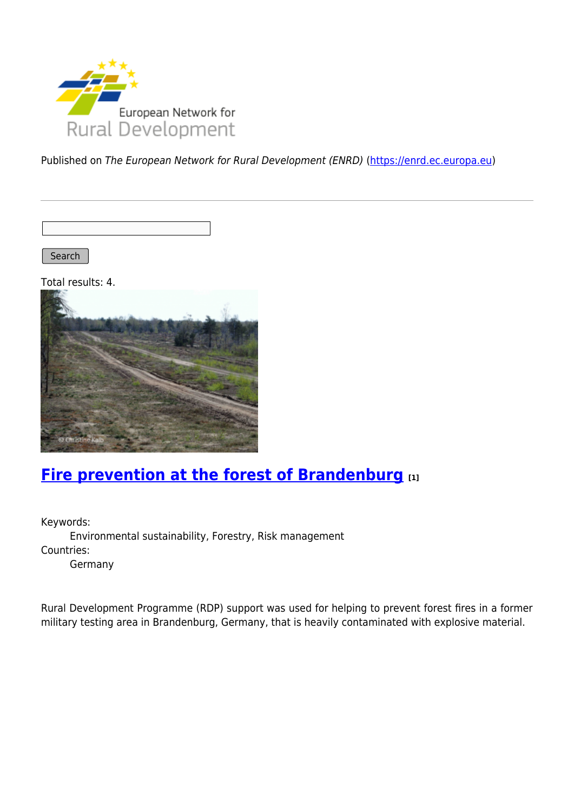

Published on The European Network for Rural Development (ENRD) [\(https://enrd.ec.europa.eu](https://enrd.ec.europa.eu))

Search |

Total results: 4.



### **[Fire prevention at the forest of Brandenburg](https://enrd.ec.europa.eu/projects-practice/fire-prevention-forest-brandenburg_en) [1]**

Keywords: Environmental sustainability, Forestry, Risk management Countries:

Germany

Rural Development Programme (RDP) support was used for helping to prevent forest fires in a former military testing area in Brandenburg, Germany, that is heavily contaminated with explosive material.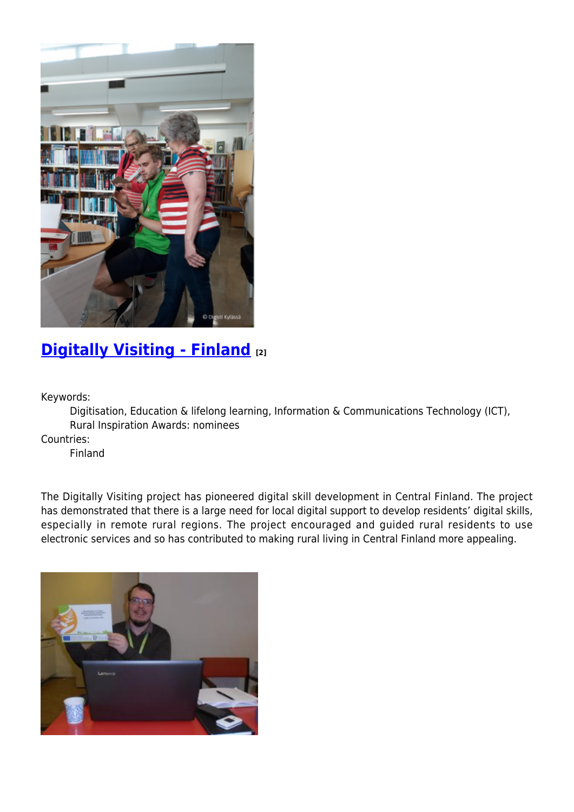

## **[Digitally Visiting - Finland](https://enrd.ec.europa.eu/projects-practice/digitally-visiting-finland_en) [2]**

Keywords:

Digitisation, Education & lifelong learning, Information & Communications Technology (ICT), Rural Inspiration Awards: nominees

Countries:

Finland

The Digitally Visiting project has pioneered digital skill development in Central Finland. The project has demonstrated that there is a large need for local digital support to develop residents' digital skills, especially in remote rural regions. The project encouraged and guided rural residents to use electronic services and so has contributed to making rural living in Central Finland more appealing.